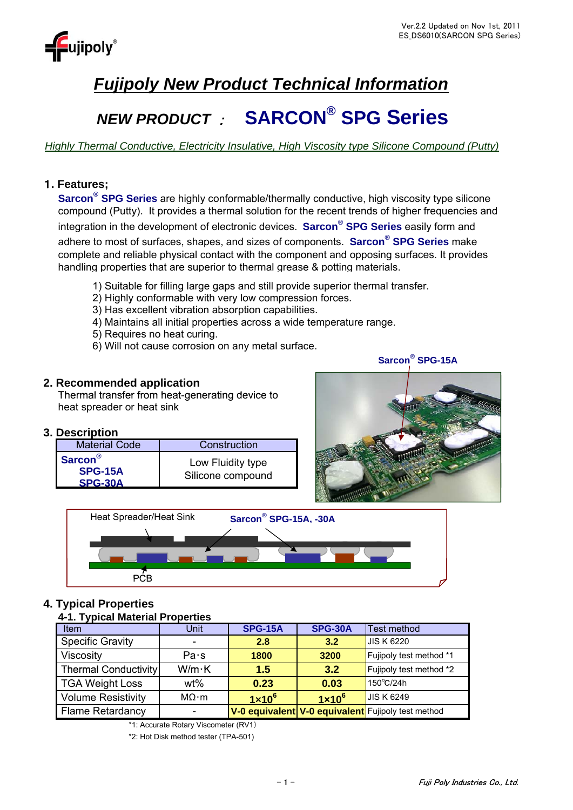

## *Fujipoly New Product Technical Information*

# *NEW PRODUCT* : **SARCON® SPG Series** *NEW*  **SARCON**

*Highly Thermal Conductive, Electricity Insulative, High Viscosity type Silicone Compound (Putty)*

## 1**. Features;**

**Sarcon® SPG Series** are highly conformable/thermally conductive, high viscosity type silicone compound (Putty). It provides a thermal solution for the recent trends of higher frequencies and integration in the development of electronic devices. **Sarcon® SPG Series** easily form and adhere to most of surfaces, shapes, and sizes of components. **Sarcon® SPG Series** make complete and reliable physical contact with the component and opposing surfaces. It provides handling properties that are superior to thermal grease & potting materials.

- 1) Suitable for filling large gaps and still provide superior thermal transfer.
- 2) Highly conformable with very low compression forces. 2) Highly conformable with very low compression
- 3) Has excellent vibration absorption capabilities.
- 4) Maintains all initial properties across a wide temperature range.
- 5) Requires no heat curing.
- 6) Will not cause corrosion on any metal surface.

## **2. Recommended application**

Thermal transfer from heat-generating device to heat spreader or heat sink

## **3. Description**

| <b>Material Code</b>                             | Construction                           |
|--------------------------------------------------|----------------------------------------|
| <b>Sarcon</b> <sup>®</sup><br>SPG-15A<br>SPG-30A | Low Fluidity type<br>Silicone compound |





## **4. Typical Properties**

## **4-1. Typical Material Properties**

| $\tau$ , representation is the contract of $\tau$ |               |                 |                 |                                                    |
|---------------------------------------------------|---------------|-----------------|-----------------|----------------------------------------------------|
| Item                                              | Unit          | <b>SPG-15A</b>  | <b>SPG-30A</b>  | <b>Test method</b>                                 |
| <b>Specific Gravity</b>                           |               | 2.8             | 3.2             | <b>JIS K 6220</b>                                  |
| <b>Viscosity</b>                                  | Pa·s          | 1800            | 3200            | Fujipoly test method *1                            |
| <b>Thermal Conductivity</b>                       | $W/m \cdot K$ | 1.5             | 3.2             | Fujipoly test method *2                            |
| <b>TGA Weight Loss</b>                            | wt%           | 0.23            | 0.03            | 150°C/24h                                          |
| <b>Volume Resistivity</b>                         | $MO \cdot m$  | $1 \times 10^6$ | $1 \times 10^6$ | <b>JIS K 6249</b>                                  |
| <b>Flame Retardancy</b>                           |               |                 |                 | V-0 equivalent V-0 equivalent Fujipoly test method |

\*1: Accurate Rotary Viscometer (RV1)

\*2: Hot Disk method tester (TPA-501)